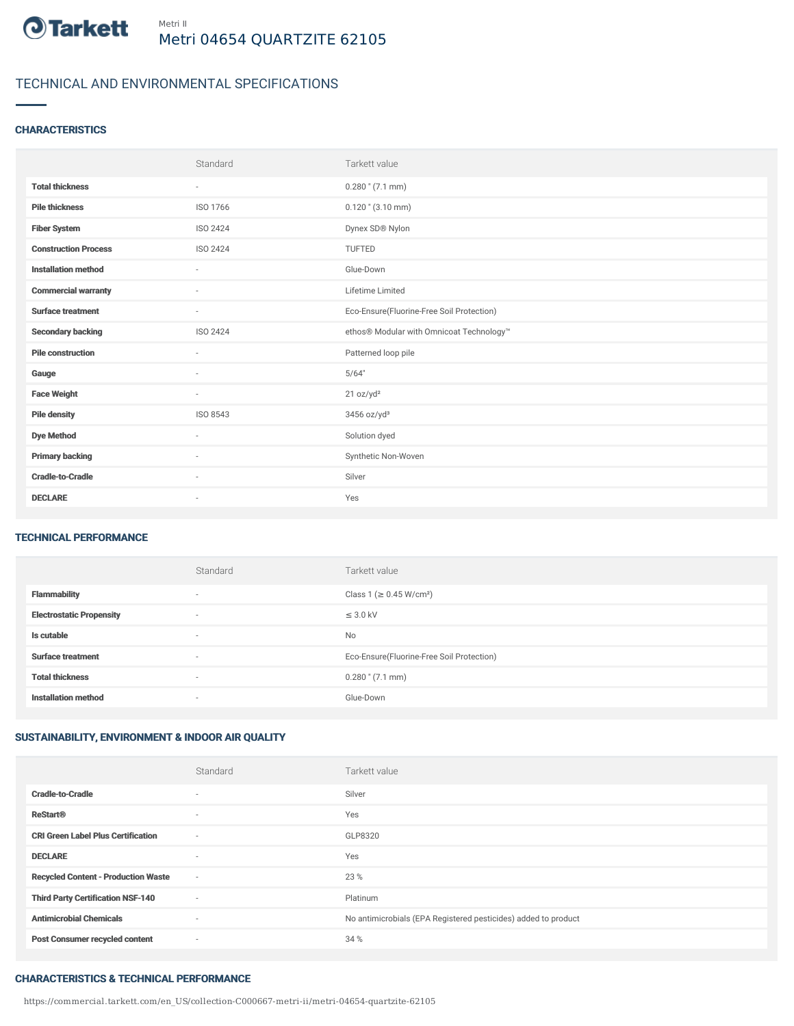

# TECHNICAL AND ENVIRONMENTAL SPECIFICATIONS

### **CHARACTERISTICS**

|                             | Standard                 | Tarkett value                             |
|-----------------------------|--------------------------|-------------------------------------------|
| <b>Total thickness</b>      | ٠                        | $0.280$ " $(7.1$ mm)                      |
| <b>Pile thickness</b>       | ISO 1766                 | $0.120$ " $(3.10$ mm)                     |
| <b>Fiber System</b>         | <b>ISO 2424</b>          | Dynex SD® Nylon                           |
| <b>Construction Process</b> | <b>ISO 2424</b>          | <b>TUFTED</b>                             |
| <b>Installation method</b>  | $\sim$                   | Glue-Down                                 |
| <b>Commercial warranty</b>  | $\sim$                   | Lifetime Limited                          |
| <b>Surface treatment</b>    | $\sim$                   | Eco-Ensure(Fluorine-Free Soil Protection) |
| <b>Secondary backing</b>    | ISO 2424                 | ethos® Modular with Omnicoat Technology™  |
| <b>Pile construction</b>    | $\sim$                   | Patterned loop pile                       |
| Gauge                       | $\overline{\phantom{a}}$ | 5/64"                                     |
| <b>Face Weight</b>          | $\overline{\phantom{a}}$ | 21 oz/yd <sup>2</sup>                     |
| <b>Pile density</b>         | ISO 8543                 | 3456 oz/yd <sup>3</sup>                   |
| <b>Dye Method</b>           | ×                        | Solution dyed                             |
| <b>Primary backing</b>      | $\sim$                   | Synthetic Non-Woven                       |
| <b>Cradle-to-Cradle</b>     | $\sim$                   | Silver                                    |
| <b>DECLARE</b>              | $\overline{\phantom{a}}$ | Yes                                       |

### TECHNICAL PERFORMANCE

|                                 | Standard                 | Tarkett value                             |
|---------------------------------|--------------------------|-------------------------------------------|
| <b>Flammability</b>             | $\overline{\phantom{a}}$ | Class 1 (≥ 0.45 W/cm <sup>2</sup> )       |
| <b>Electrostatic Propensity</b> | $\overline{\phantom{a}}$ | $\leq$ 3.0 kV                             |
| Is cutable                      | $\overline{\phantom{a}}$ | <b>No</b>                                 |
| <b>Surface treatment</b>        | $\overline{\phantom{a}}$ | Eco-Ensure(Fluorine-Free Soil Protection) |
| <b>Total thickness</b>          | $\overline{\phantom{a}}$ | $0.280$ " $(7.1$ mm)                      |
| <b>Installation method</b>      | $\overline{\phantom{a}}$ | Glue-Down                                 |

## SUSTAINABILITY, ENVIRONMENT & INDOOR AIR QUALITY

|                                            | Standard                 | Tarkett value                                                  |
|--------------------------------------------|--------------------------|----------------------------------------------------------------|
| <b>Cradle-to-Cradle</b>                    | $\overline{\phantom{a}}$ | Silver                                                         |
| <b>ReStart®</b>                            | $\overline{\phantom{a}}$ | Yes                                                            |
| <b>CRI Green Label Plus Certification</b>  | $\sim$                   | GLP8320                                                        |
| <b>DECLARE</b>                             | $\overline{\phantom{a}}$ | Yes                                                            |
| <b>Recycled Content - Production Waste</b> | $\sim$                   | 23 %                                                           |
| <b>Third Party Certification NSF-140</b>   | $\sim$                   | Platinum                                                       |
| <b>Antimicrobial Chemicals</b>             | $\sim$                   | No antimicrobials (EPA Registered pesticides) added to product |
| <b>Post Consumer recycled content</b>      | $\sim$                   | 34 %                                                           |

## CHARACTERISTICS & TECHNICAL PERFORMANCE